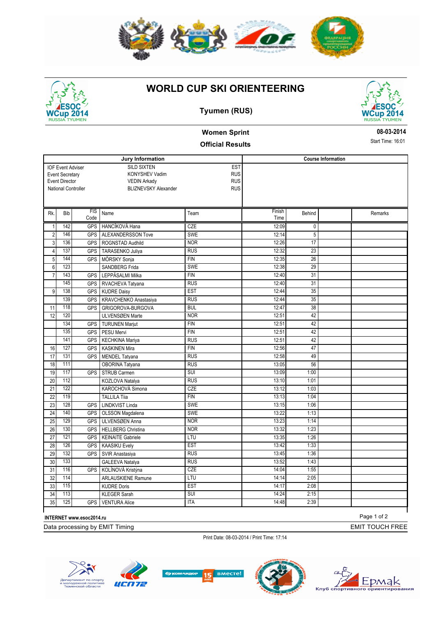

## **WORLD CUP SKI ORIENTEERING**



#### **Tyumen (RUS)**



# **Women Sprint**

#### **Official Results**

**Jury Information** SILD SIXTEN KONYSHEV Vadim VEDIN Arkady National Controller **BLIZNEVSKY** Alexander **EST RUS** RUS RUS **Course Information** IOF Event Adviser Event Secretary Event Director FIS Code Rk. Bib FIS Name Team Team Finish Time Behind Remarks 1 142 GPS HANCÍKOVÁ Hana CZE 12:09 0 2 146 GPS ALEXANDERSSON Tove SWE SWE 12:14 5 3 136 GPS ROGNSTAD Audhild NOR 12:26 17 4 137 GPS TARASENKO Juliya RUS RUS 12:32 23 5 144 GPS MÖRSKY Sonja FIN FIN 12:35 26 6 123 SANDBERG Frida SWE 12:38 29 7 143 GPS LEPPÄSALMI Milka FIN 12:40 31 145 GPS RVACHEVA Tatyana RUS RUS 12:40 31 9 138 GPS KUDRE Daisy **EST** 12:44 35 139 GPS KRAVCHENKO Anastasiya RUS RUS 12:44 12:44 GRIGOROVA-BURGOVA 38 11 118 GPS BUL 12:47 12 120 ULVENSØEN Marte NOR NOR 12:51 42 134 GPS TURUNEN Marjut FIN FIN 12:51 42 135 GPS PESU Mervi FIN 12:51 42 141 GPS KECHKINA Mariya RUS RUS 12:51 42 16 127 GPS KASKINEN Mira FIN FIN 12:56 47 17 131 GPS MENDEL Tatyana RUS RUS 12:58 49 18 111 OBORINA Tatyana RUS RUS 13:05 56 19 117 GPS STRUB Carmen SUI SUI 13:09 1:00 20 112 KOZLOVA Natalya RUS RUS 13:10 1:01 21 122 KAROCHOVÁ Simona CZE 13:12 1:03 22 119 TALLILA Tiia FIN FIN 13:13 1:04 23 128 GPS LINDKVIST Linda SWE SWE 13:15 1:06 24 140 GPS OLSSON Magdalena SWE SWE 13:22 1:13 25 129 GPS ULVENSØEN Anna NOR NOR 13:23 1:14 26 130 GPS HELLBERG Christina 1NOR 13:32 1:23 27 121 GPS KEINAITE Gabriele LTU LTU 13:35 1:26 28 126 GPS KAASIKU Evely **EST** EST 13:42 1:33 29 132 GPS SVIR Anastasiya RUS 13:45 1:36 30 133 GALEEVA Natalya RUS RUS 13:52 1:43 31 116 GPS KOLÍNOVÁ Kristýna CZE 14:04 14:04 1:55 32 114 ARLAUSKIENE Ramune LTU 14:14 2:05 33 115 KUDRE Doris EST 14:17 2:08 34 113 KLEGER Sarah SUI 14:24 2:15 35 125 GPS VENTURA Alice 1TA 1 17A 15 14:48 2:39

**INTERNET www.esoc2014.ru**

Data processing by EMIT Timing

Print Date: 08-03-2014 / Print Time: 17:14











Page 1 of 2

EMIT TOUCH FREE

Timing

**08-03-2014**

Start Time: 16:01